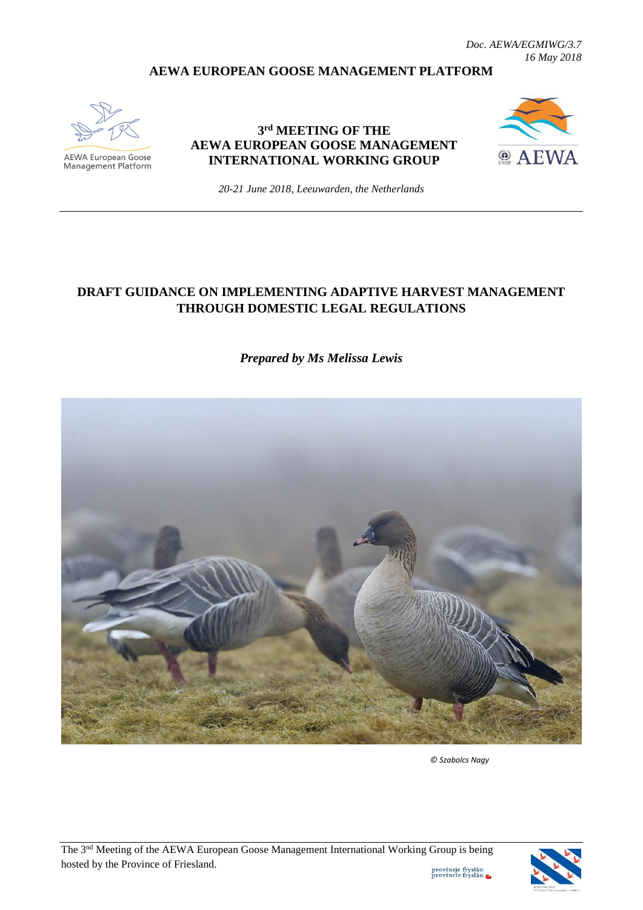#### **AEWA EUROPEAN GOOSE MANAGEMENT PLATFORM**



AEWA European Goose Management Platform

#### **3 rd MEETING OF THE AEWA EUROPEAN GOOSE MANAGEMENT INTERNATIONAL WORKING GROUP**



*20-21 June 2018, Leeuwarden, the Netherlands*

# **DRAFT GUIDANCE ON IMPLEMENTING ADAPTIVE HARVEST MANAGEMENT THROUGH DOMESTIC LEGAL REGULATIONS**

*Prepared by Ms Melissa Lewis* 



 *© Szabolcs Nagy*



provinsje fryslân<br>provincie fryslân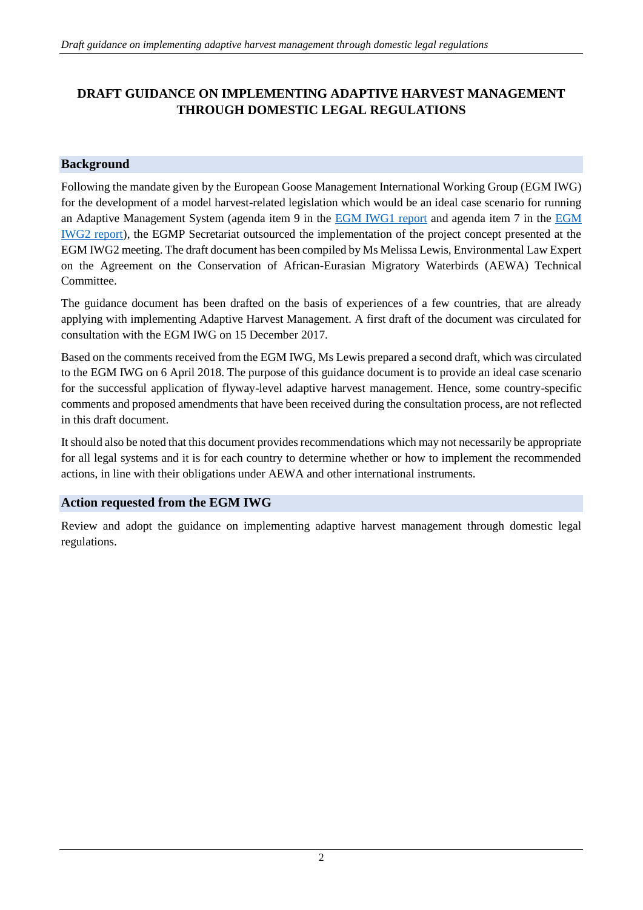# **DRAFT GUIDANCE ON IMPLEMENTING ADAPTIVE HARVEST MANAGEMENT THROUGH DOMESTIC LEGAL REGULATIONS**

#### **Background**

Following the mandate given by the European Goose Management International Working Group (EGM IWG) for the development of a model harvest-related legislation which would be an ideal case scenario for running an Adaptive Management System (agenda item 9 in the **EGM IWG1** report and agenda item 7 in the **EGM** [IWG2 report\)](http://www.unep-aewa.org/sites/default/files/document/aewa_egm_iwg_2_report.pdf), the EGMP Secretariat outsourced the implementation of the project concept presented at the EGM IWG2 meeting. The draft document has been compiled by Ms Melissa Lewis, Environmental Law Expert on the Agreement on the Conservation of African-Eurasian Migratory Waterbirds (AEWA) Technical Committee.

The guidance document has been drafted on the basis of experiences of a few countries, that are already applying with implementing Adaptive Harvest Management. A first draft of the document was circulated for consultation with the EGM IWG on 15 December 2017.

Based on the comments received from the EGM IWG, Ms Lewis prepared a second draft, which was circulated to the EGM IWG on 6 April 2018. The purpose of this guidance document is to provide an ideal case scenario for the successful application of flyway-level adaptive harvest management. Hence, some country-specific comments and proposed amendments that have been received during the consultation process, are not reflected in this draft document.

It should also be noted that this document provides recommendations which may not necessarily be appropriate for all legal systems and it is for each country to determine whether or how to implement the recommended actions, in line with their obligations under AEWA and other international instruments.

#### **Action requested from the EGM IWG**

Review and adopt the guidance on implementing adaptive harvest management through domestic legal regulations.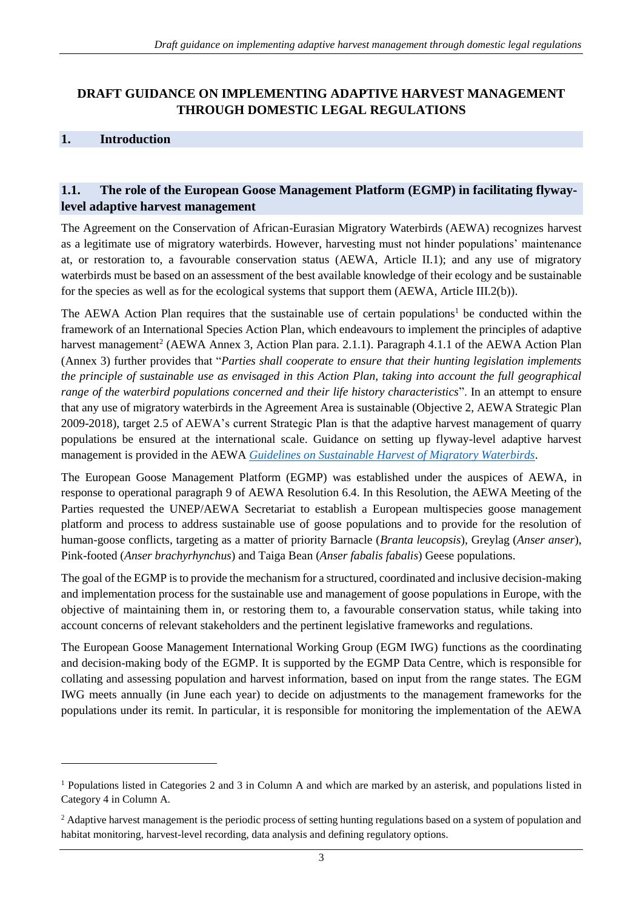# **DRAFT GUIDANCE ON IMPLEMENTING ADAPTIVE HARVEST MANAGEMENT THROUGH DOMESTIC LEGAL REGULATIONS**

# **1. Introduction**

-

## **1.1. The role of the European Goose Management Platform (EGMP) in facilitating flywaylevel adaptive harvest management**

The Agreement on the Conservation of African-Eurasian Migratory Waterbirds (AEWA) recognizes harvest as a legitimate use of migratory waterbirds. However, harvesting must not hinder populations' maintenance at, or restoration to, a favourable conservation status (AEWA, Article II.1); and any use of migratory waterbirds must be based on an assessment of the best available knowledge of their ecology and be sustainable for the species as well as for the ecological systems that support them (AEWA, Article III.2(b)).

The AEWA Action Plan requires that the sustainable use of certain populations<sup>1</sup> be conducted within the framework of an International Species Action Plan, which endeavours to implement the principles of adaptive harvest management<sup>2</sup> (AEWA Annex 3, Action Plan para. 2.1.1). Paragraph 4.1.1 of the AEWA Action Plan (Annex 3) further provides that "*Parties shall cooperate to ensure that their hunting legislation implements the principle of sustainable use as envisaged in this Action Plan, taking into account the full geographical range of the waterbird populations concerned and their life history characteristics*". In an attempt to ensure that any use of migratory waterbirds in the Agreement Area is sustainable (Objective 2, AEWA Strategic Plan 2009-2018), target 2.5 of AEWA's current Strategic Plan is that the adaptive harvest management of quarry populations be ensured at the international scale. Guidance on setting up flyway-level adaptive harvest management is provided in the AEWA *[Guidelines on Sustainable Harvest of Migratory Waterbirds](http://www.unep-aewa.org/sites/default/files/publication/ts62_cg5_sustainable%20_harvest_guidelines_0.pdf)*.

The European Goose Management Platform (EGMP) was established under the auspices of AEWA, in response to operational paragraph 9 of AEWA Resolution 6.4. In this Resolution, the AEWA Meeting of the Parties requested the UNEP/AEWA Secretariat to establish a European multispecies goose management platform and process to address sustainable use of goose populations and to provide for the resolution of human-goose conflicts, targeting as a matter of priority Barnacle (*Branta leucopsis*), Greylag (*Anser anser*), Pink-footed (*Anser brachyrhynchus*) and Taiga Bean (*Anser fabalis fabalis*) Geese populations.

The goal of the EGMP is to provide the mechanism for a structured, coordinated and inclusive decision-making and implementation process for the sustainable use and management of goose populations in Europe, with the objective of maintaining them in, or restoring them to, a favourable conservation status, while taking into account concerns of relevant stakeholders and the pertinent legislative frameworks and regulations.

The European Goose Management International Working Group (EGM IWG) functions as the coordinating and decision-making body of the EGMP. It is supported by the EGMP Data Centre, which is responsible for collating and assessing population and harvest information, based on input from the range states. The EGM IWG meets annually (in June each year) to decide on adjustments to the management frameworks for the populations under its remit. In particular, it is responsible for monitoring the implementation of the AEWA

<sup>1</sup> Populations listed in Categories 2 and 3 in Column A and which are marked by an asterisk, and populations listed in Category 4 in Column A.

<sup>&</sup>lt;sup>2</sup> Adaptive harvest management is the periodic process of setting hunting regulations based on a system of population and habitat monitoring, harvest-level recording, data analysis and defining regulatory options.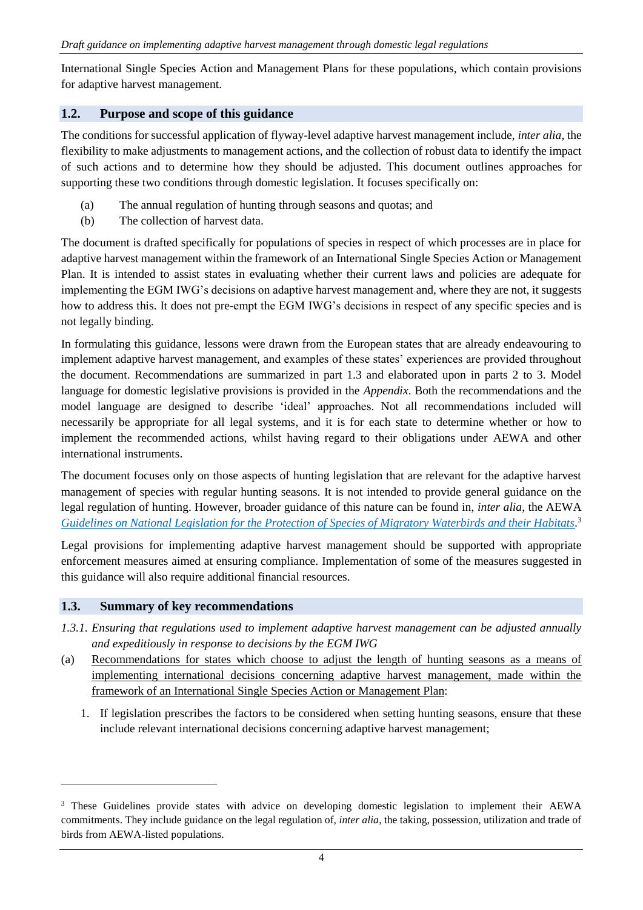International Single Species Action and Management Plans for these populations, which contain provisions for adaptive harvest management.

#### **1.2. Purpose and scope of this guidance**

The conditions for successful application of flyway-level adaptive harvest management include, *inter alia*, the flexibility to make adjustments to management actions, and the collection of robust data to identify the impact of such actions and to determine how they should be adjusted. This document outlines approaches for supporting these two conditions through domestic legislation. It focuses specifically on:

- (a) The annual regulation of hunting through seasons and quotas; and
- (b) The collection of harvest data.

The document is drafted specifically for populations of species in respect of which processes are in place for adaptive harvest management within the framework of an International Single Species Action or Management Plan. It is intended to assist states in evaluating whether their current laws and policies are adequate for implementing the EGM IWG's decisions on adaptive harvest management and, where they are not, it suggests how to address this. It does not pre-empt the EGM IWG's decisions in respect of any specific species and is not legally binding.

In formulating this guidance, lessons were drawn from the European states that are already endeavouring to implement adaptive harvest management, and examples of these states' experiences are provided throughout the document. Recommendations are summarized in part 1.3 and elaborated upon in parts 2 to 3. Model language for domestic legislative provisions is provided in the *Appendix*. Both the recommendations and the model language are designed to describe 'ideal' approaches. Not all recommendations included will necessarily be appropriate for all legal systems, and it is for each state to determine whether or how to implement the recommended actions, whilst having regard to their obligations under AEWA and other international instruments.

The document focuses only on those aspects of hunting legislation that are relevant for the adaptive harvest management of species with regular hunting seasons. It is not intended to provide general guidance on the legal regulation of hunting. However, broader guidance of this nature can be found in, *inter alia*, the AEWA *[Guidelines on National Legislation for the Protection of Species of Migratory Waterbirds and their Habitats.](http://www.unep-aewa.org/en/document/draft-guidelines-national-legislation-protection-species-migratory-waterbirds-and-their-1)* 3

Legal provisions for implementing adaptive harvest management should be supported with appropriate enforcement measures aimed at ensuring compliance. Implementation of some of the measures suggested in this guidance will also require additional financial resources.

#### **1.3. Summary of key recommendations**

-

- *1.3.1. Ensuring that regulations used to implement adaptive harvest management can be adjusted annually and expeditiously in response to decisions by the EGM IWG*
- (a) Recommendations for states which choose to adjust the length of hunting seasons as a means of implementing international decisions concerning adaptive harvest management, made within the framework of an International Single Species Action or Management Plan:
	- 1. If legislation prescribes the factors to be considered when setting hunting seasons, ensure that these include relevant international decisions concerning adaptive harvest management;

<sup>&</sup>lt;sup>3</sup> These Guidelines provide states with advice on developing domestic legislation to implement their AEWA commitments. They include guidance on the legal regulation of, *inter alia*, the taking, possession, utilization and trade of birds from AEWA-listed populations.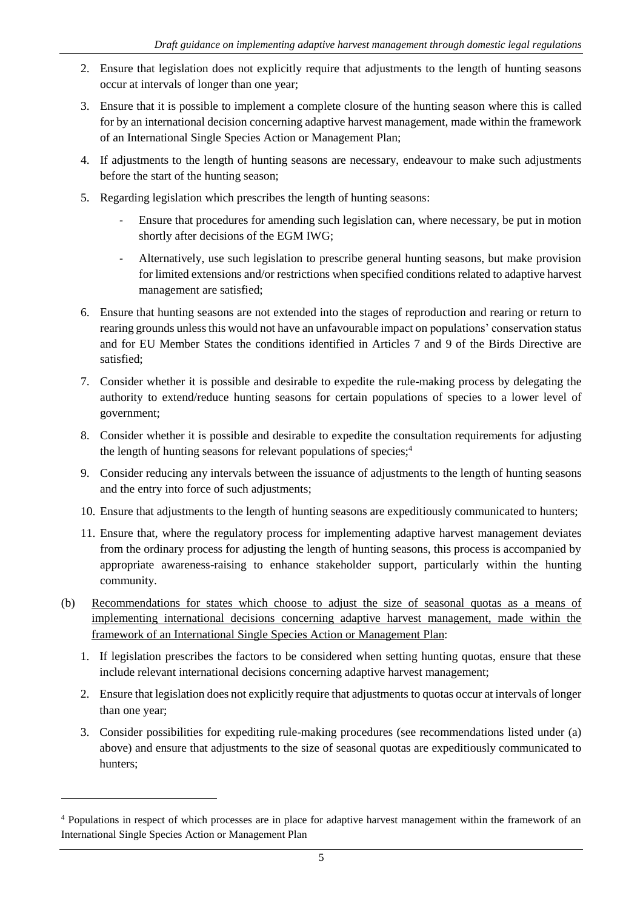- 2. Ensure that legislation does not explicitly require that adjustments to the length of hunting seasons occur at intervals of longer than one year;
- 3. Ensure that it is possible to implement a complete closure of the hunting season where this is called for by an international decision concerning adaptive harvest management, made within the framework of an International Single Species Action or Management Plan;
- 4. If adjustments to the length of hunting seasons are necessary, endeavour to make such adjustments before the start of the hunting season;
- 5. Regarding legislation which prescribes the length of hunting seasons:
	- Ensure that procedures for amending such legislation can, where necessary, be put in motion shortly after decisions of the EGM IWG;
	- Alternatively, use such legislation to prescribe general hunting seasons, but make provision for limited extensions and/or restrictions when specified conditions related to adaptive harvest management are satisfied;
- 6. Ensure that hunting seasons are not extended into the stages of reproduction and rearing or return to rearing grounds unless this would not have an unfavourable impact on populations' conservation status and for EU Member States the conditions identified in Articles 7 and 9 of the Birds Directive are satisfied;
- 7. Consider whether it is possible and desirable to expedite the rule-making process by delegating the authority to extend/reduce hunting seasons for certain populations of species to a lower level of government;
- 8. Consider whether it is possible and desirable to expedite the consultation requirements for adjusting the length of hunting seasons for relevant populations of species; 4
- 9. Consider reducing any intervals between the issuance of adjustments to the length of hunting seasons and the entry into force of such adjustments;
- 10. Ensure that adjustments to the length of hunting seasons are expeditiously communicated to hunters;
- 11. Ensure that, where the regulatory process for implementing adaptive harvest management deviates from the ordinary process for adjusting the length of hunting seasons, this process is accompanied by appropriate awareness-raising to enhance stakeholder support, particularly within the hunting community.
- (b) Recommendations for states which choose to adjust the size of seasonal quotas as a means of implementing international decisions concerning adaptive harvest management, made within the framework of an International Single Species Action or Management Plan:
	- 1. If legislation prescribes the factors to be considered when setting hunting quotas, ensure that these include relevant international decisions concerning adaptive harvest management;
	- 2. Ensure that legislation does not explicitly require that adjustments to quotas occur at intervals of longer than one year;
	- 3. Consider possibilities for expediting rule-making procedures (see recommendations listed under (a) above) and ensure that adjustments to the size of seasonal quotas are expeditiously communicated to hunters;

-

<sup>4</sup> Populations in respect of which processes are in place for adaptive harvest management within the framework of an International Single Species Action or Management Plan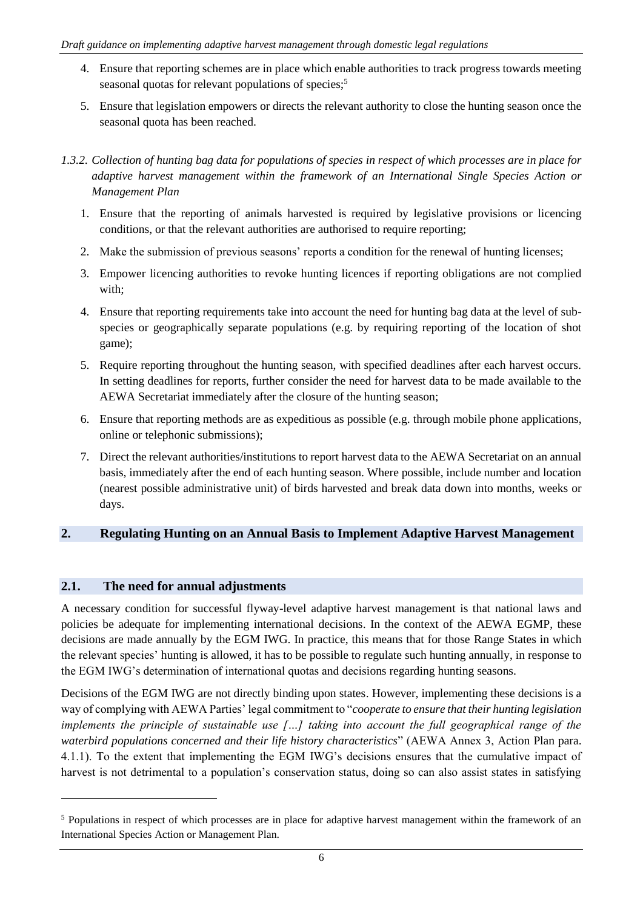- 4. Ensure that reporting schemes are in place which enable authorities to track progress towards meeting seasonal quotas for relevant populations of species;<sup>5</sup>
- 5. Ensure that legislation empowers or directs the relevant authority to close the hunting season once the seasonal quota has been reached.

- 1. Ensure that the reporting of animals harvested is required by legislative provisions or licencing conditions, or that the relevant authorities are authorised to require reporting;
- 2. Make the submission of previous seasons' reports a condition for the renewal of hunting licenses;
- 3. Empower licencing authorities to revoke hunting licences if reporting obligations are not complied with;
- 4. Ensure that reporting requirements take into account the need for hunting bag data at the level of subspecies or geographically separate populations (e.g. by requiring reporting of the location of shot game);
- 5. Require reporting throughout the hunting season, with specified deadlines after each harvest occurs. In setting deadlines for reports, further consider the need for harvest data to be made available to the AEWA Secretariat immediately after the closure of the hunting season;
- 6. Ensure that reporting methods are as expeditious as possible (e.g. through mobile phone applications, online or telephonic submissions);
- 7. Direct the relevant authorities/institutions to report harvest data to the AEWA Secretariat on an annual basis, immediately after the end of each hunting season. Where possible, include number and location (nearest possible administrative unit) of birds harvested and break data down into months, weeks or days.

#### **2. Regulating Hunting on an Annual Basis to Implement Adaptive Harvest Management**

#### **2.1. The need for annual adjustments**

-

A necessary condition for successful flyway-level adaptive harvest management is that national laws and policies be adequate for implementing international decisions. In the context of the AEWA EGMP, these decisions are made annually by the EGM IWG. In practice, this means that for those Range States in which the relevant species' hunting is allowed, it has to be possible to regulate such hunting annually, in response to the EGM IWG's determination of international quotas and decisions regarding hunting seasons.

Decisions of the EGM IWG are not directly binding upon states. However, implementing these decisions is a way of complying with AEWA Parties' legal commitment to "*cooperate to ensure that their hunting legislation implements the principle of sustainable use […] taking into account the full geographical range of the waterbird populations concerned and their life history characteristics*" (AEWA Annex 3, Action Plan para. 4.1.1). To the extent that implementing the EGM IWG's decisions ensures that the cumulative impact of harvest is not detrimental to a population's conservation status, doing so can also assist states in satisfying

*<sup>1.3.2.</sup> Collection of hunting bag data for populations of species in respect of which processes are in place for adaptive harvest management within the framework of an International Single Species Action or Management Plan*

<sup>5</sup> Populations in respect of which processes are in place for adaptive harvest management within the framework of an International Species Action or Management Plan.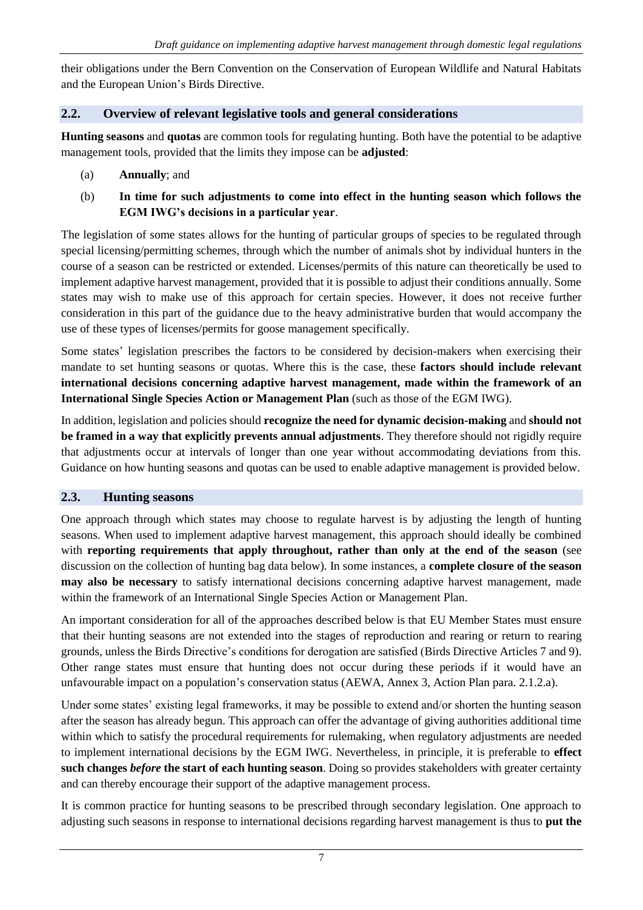their obligations under the Bern Convention on the Conservation of European Wildlife and Natural Habitats and the European Union's Birds Directive.

## **2.2. Overview of relevant legislative tools and general considerations**

**Hunting seasons** and **quotas** are common tools for regulating hunting. Both have the potential to be adaptive management tools, provided that the limits they impose can be **adjusted**:

- (a) **Annually**; and
- (b) **In time for such adjustments to come into effect in the hunting season which follows the EGM IWG's decisions in a particular year**.

The legislation of some states allows for the hunting of particular groups of species to be regulated through special licensing/permitting schemes, through which the number of animals shot by individual hunters in the course of a season can be restricted or extended. Licenses/permits of this nature can theoretically be used to implement adaptive harvest management, provided that it is possible to adjust their conditions annually. Some states may wish to make use of this approach for certain species. However, it does not receive further consideration in this part of the guidance due to the heavy administrative burden that would accompany the use of these types of licenses/permits for goose management specifically.

Some states' legislation prescribes the factors to be considered by decision-makers when exercising their mandate to set hunting seasons or quotas. Where this is the case, these **factors should include relevant international decisions concerning adaptive harvest management, made within the framework of an International Single Species Action or Management Plan** (such as those of the EGM IWG).

In addition, legislation and policies should **recognize the need for dynamic decision-making** and **should not be framed in a way that explicitly prevents annual adjustments**. They therefore should not rigidly require that adjustments occur at intervals of longer than one year without accommodating deviations from this. Guidance on how hunting seasons and quotas can be used to enable adaptive management is provided below.

#### **2.3. Hunting seasons**

One approach through which states may choose to regulate harvest is by adjusting the length of hunting seasons. When used to implement adaptive harvest management, this approach should ideally be combined with **reporting requirements that apply throughout, rather than only at the end of the season** (see discussion on the collection of hunting bag data below). In some instances, a **complete closure of the season may also be necessary** to satisfy international decisions concerning adaptive harvest management, made within the framework of an International Single Species Action or Management Plan.

An important consideration for all of the approaches described below is that EU Member States must ensure that their hunting seasons are not extended into the stages of reproduction and rearing or return to rearing grounds, unless the Birds Directive's conditions for derogation are satisfied (Birds Directive Articles 7 and 9). Other range states must ensure that hunting does not occur during these periods if it would have an unfavourable impact on a population's conservation status (AEWA, Annex 3, Action Plan para. 2.1.2.a).

Under some states' existing legal frameworks, it may be possible to extend and/or shorten the hunting season after the season has already begun. This approach can offer the advantage of giving authorities additional time within which to satisfy the procedural requirements for rulemaking, when regulatory adjustments are needed to implement international decisions by the EGM IWG. Nevertheless, in principle, it is preferable to **effect such changes** *before* **the start of each hunting season**. Doing so provides stakeholders with greater certainty and can thereby encourage their support of the adaptive management process.

It is common practice for hunting seasons to be prescribed through secondary legislation. One approach to adjusting such seasons in response to international decisions regarding harvest management is thus to **put the**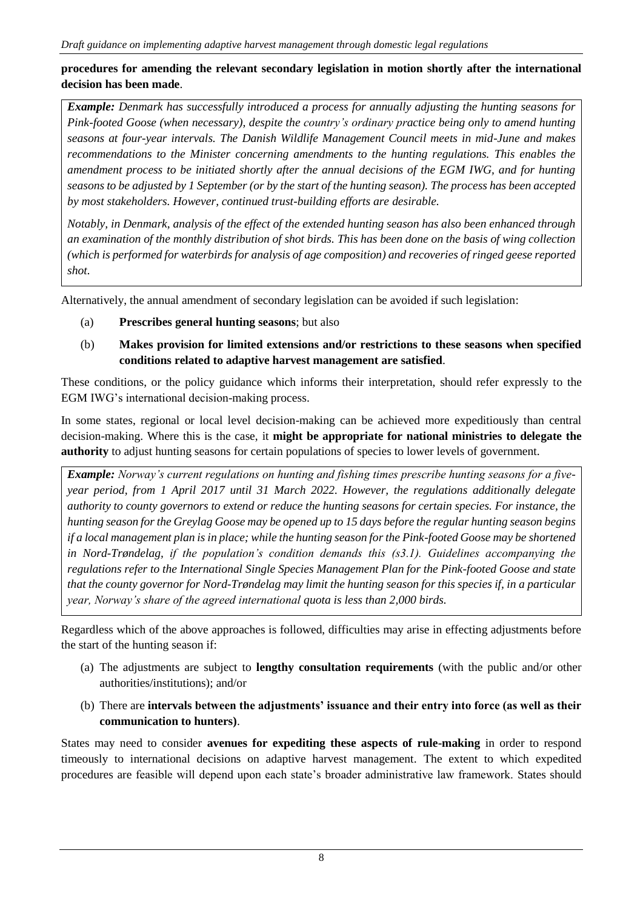### **procedures for amending the relevant secondary legislation in motion shortly after the international decision has been made**.

*Example: Denmark has successfully introduced a process for annually adjusting the hunting seasons for Pink-footed Goose (when necessary), despite the country's ordinary practice being only to amend hunting seasons at four-year intervals. The Danish Wildlife Management Council meets in mid-June and makes recommendations to the Minister concerning amendments to the hunting regulations. This enables the amendment process to be initiated shortly after the annual decisions of the EGM IWG, and for hunting seasons to be adjusted by 1 September (or by the start of the hunting season). The process has been accepted by most stakeholders. However, continued trust-building efforts are desirable.*

*Notably, in Denmark, analysis of the effect of the extended hunting season has also been enhanced through an examination of the monthly distribution of shot birds. This has been done on the basis of wing collection (which is performed for waterbirds for analysis of age composition) and recoveries of ringed geese reported shot.*

Alternatively, the annual amendment of secondary legislation can be avoided if such legislation:

- (a) **Prescribes general hunting seasons**; but also
- (b) **Makes provision for limited extensions and/or restrictions to these seasons when specified conditions related to adaptive harvest management are satisfied**.

These conditions, or the policy guidance which informs their interpretation, should refer expressly to the EGM IWG's international decision-making process.

In some states, regional or local level decision-making can be achieved more expeditiously than central decision-making. Where this is the case, it **might be appropriate for national ministries to delegate the authority** to adjust hunting seasons for certain populations of species to lower levels of government.

*Example: Norway's current regulations on hunting and fishing times prescribe hunting seasons for a fiveyear period, from 1 April 2017 until 31 March 2022. However, the regulations additionally delegate authority to county governors to extend or reduce the hunting seasons for certain species. For instance, the hunting season for the Greylag Goose may be opened up to 15 days before the regular hunting season begins if a local management plan is in place; while the hunting season for the Pink-footed Goose may be shortened in Nord-Trøndelag, if the population's condition demands this (s3.1). Guidelines accompanying the regulations refer to the International Single Species Management Plan for the Pink-footed Goose and state that the county governor for Nord-Trøndelag may limit the hunting season for this species if, in a particular year, Norway's share of the agreed international quota is less than 2,000 birds.*

Regardless which of the above approaches is followed, difficulties may arise in effecting adjustments before the start of the hunting season if:

- (a) The adjustments are subject to **lengthy consultation requirements** (with the public and/or other authorities/institutions); and/or
- (b) There are **intervals between the adjustments' issuance and their entry into force (as well as their communication to hunters)**.

States may need to consider **avenues for expediting these aspects of rule-making** in order to respond timeously to international decisions on adaptive harvest management. The extent to which expedited procedures are feasible will depend upon each state's broader administrative law framework. States should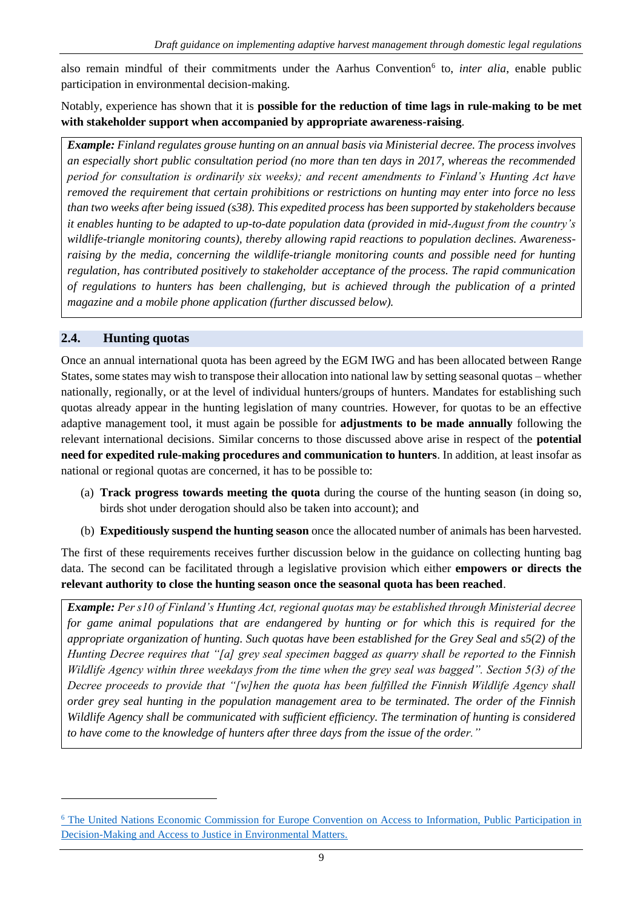also remain mindful of their commitments under the Aarhus Convention<sup>6</sup> to, *inter alia*, enable public participation in environmental decision-making.

Notably, experience has shown that it is **possible for the reduction of time lags in rule-making to be met with stakeholder support when accompanied by appropriate awareness-raising**.

*Example: Finland regulates grouse hunting on an annual basis via Ministerial decree. The process involves an especially short public consultation period (no more than ten days in 2017, whereas the recommended period for consultation is ordinarily six weeks); and recent amendments to Finland's Hunting Act have removed the requirement that certain prohibitions or restrictions on hunting may enter into force no less than two weeks after being issued (s38). This expedited process has been supported by stakeholders because it enables hunting to be adapted to up-to-date population data (provided in mid-August from the country's wildlife-triangle monitoring counts), thereby allowing rapid reactions to population declines. Awarenessraising by the media, concerning the wildlife-triangle monitoring counts and possible need for hunting regulation, has contributed positively to stakeholder acceptance of the process. The rapid communication of regulations to hunters has been challenging, but is achieved through the publication of a printed magazine and a mobile phone application (further discussed below).*

#### **2.4. Hunting quotas**

-

Once an annual international quota has been agreed by the EGM IWG and has been allocated between Range States, some states may wish to transpose their allocation into national law by setting seasonal quotas – whether nationally, regionally, or at the level of individual hunters/groups of hunters. Mandates for establishing such quotas already appear in the hunting legislation of many countries. However, for quotas to be an effective adaptive management tool, it must again be possible for **adjustments to be made annually** following the relevant international decisions. Similar concerns to those discussed above arise in respect of the **potential need for expedited rule-making procedures and communication to hunters**. In addition, at least insofar as national or regional quotas are concerned, it has to be possible to:

- (a) **Track progress towards meeting the quota** during the course of the hunting season (in doing so, birds shot under derogation should also be taken into account); and
- (b) **Expeditiously suspend the hunting season** once the allocated number of animals has been harvested.

The first of these requirements receives further discussion below in the guidance on collecting hunting bag data. The second can be facilitated through a legislative provision which either **empowers or directs the relevant authority to close the hunting season once the seasonal quota has been reached**.

*Example: Per s10 of Finland's Hunting Act, regional quotas may be established through Ministerial decree for game animal populations that are endangered by hunting or for which this is required for the appropriate organization of hunting. Such quotas have been established for the Grey Seal and s5(2) of the Hunting Decree requires that "[a] grey seal specimen bagged as quarry shall be reported to the Finnish Wildlife Agency within three weekdays from the time when the grey seal was bagged". Section 5(3) of the Decree proceeds to provide that "[w]hen the quota has been fulfilled the Finnish Wildlife Agency shall order grey seal hunting in the population management area to be terminated. The order of the Finnish Wildlife Agency shall be communicated with sufficient efficiency. The termination of hunting is considered to have come to the knowledge of hunters after three days from the issue of the order."*

<sup>&</sup>lt;sup>6</sup> The United Nations Economic Commission for Europe Convention on Access to Information, Public Participation in [Decision-Making and Access to Justice in Environmental Matters.](http://www.unece.org/fileadmin/DAM/env/pp/documents/cep43e.pdf)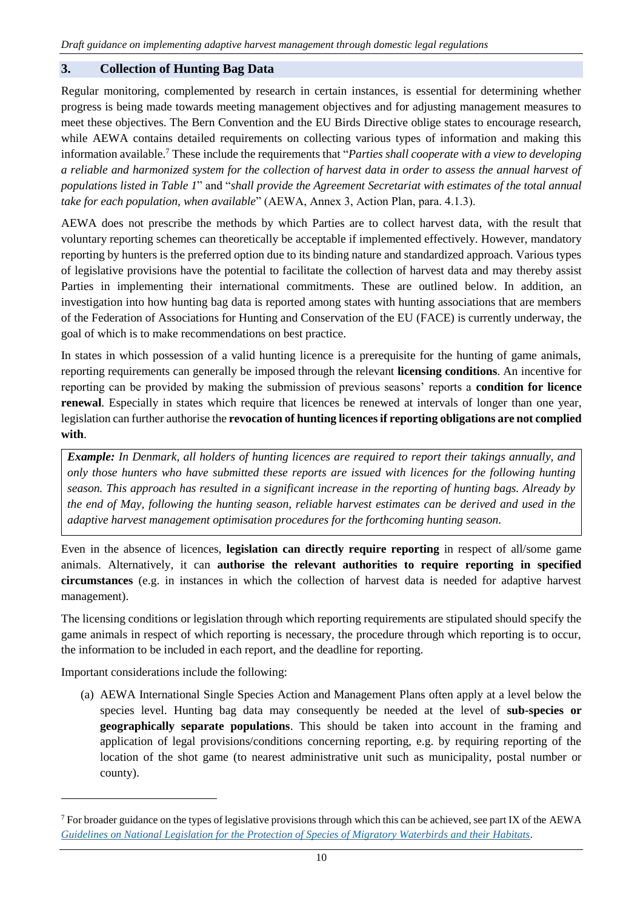#### **3. Collection of Hunting Bag Data**

Regular monitoring, complemented by research in certain instances, is essential for determining whether progress is being made towards meeting management objectives and for adjusting management measures to meet these objectives. The Bern Convention and the EU Birds Directive oblige states to encourage research, while AEWA contains detailed requirements on collecting various types of information and making this information available.<sup>7</sup> These include the requirements that "*Parties shall cooperate with a view to developing a reliable and harmonized system for the collection of harvest data in order to assess the annual harvest of populations listed in Table 1*" and "*shall provide the Agreement Secretariat with estimates of the total annual take for each population, when available*" (AEWA, Annex 3, Action Plan, para. 4.1.3).

AEWA does not prescribe the methods by which Parties are to collect harvest data, with the result that voluntary reporting schemes can theoretically be acceptable if implemented effectively. However, mandatory reporting by hunters is the preferred option due to its binding nature and standardized approach. Various types of legislative provisions have the potential to facilitate the collection of harvest data and may thereby assist Parties in implementing their international commitments. These are outlined below. In addition, an investigation into how hunting bag data is reported among states with hunting associations that are members of the Federation of Associations for Hunting and Conservation of the EU (FACE) is currently underway, the goal of which is to make recommendations on best practice.

In states in which possession of a valid hunting licence is a prerequisite for the hunting of game animals, reporting requirements can generally be imposed through the relevant **licensing conditions**. An incentive for reporting can be provided by making the submission of previous seasons' reports a **condition for licence renewal**. Especially in states which require that licences be renewed at intervals of longer than one year, legislation can further authorise the **revocation of hunting licences if reporting obligations are not complied with**.

*Example: In Denmark, all holders of hunting licences are required to report their takings annually, and only those hunters who have submitted these reports are issued with licences for the following hunting season. This approach has resulted in a significant increase in the reporting of hunting bags. Already by the end of May, following the hunting season, reliable harvest estimates can be derived and used in the adaptive harvest management optimisation procedures for the forthcoming hunting season.*

Even in the absence of licences, **legislation can directly require reporting** in respect of all/some game animals. Alternatively, it can **authorise the relevant authorities to require reporting in specified circumstances** (e.g. in instances in which the collection of harvest data is needed for adaptive harvest management).

The licensing conditions or legislation through which reporting requirements are stipulated should specify the game animals in respect of which reporting is necessary, the procedure through which reporting is to occur, the information to be included in each report, and the deadline for reporting.

Important considerations include the following:

-

(a) AEWA International Single Species Action and Management Plans often apply at a level below the species level. Hunting bag data may consequently be needed at the level of **sub-species or geographically separate populations**. This should be taken into account in the framing and application of legal provisions/conditions concerning reporting, e.g. by requiring reporting of the location of the shot game (to nearest administrative unit such as municipality, postal number or county).

 $<sup>7</sup>$  For broader guidance on the types of legislative provisions through which this can be achieved, see part IX of the AEWA</sup> *[Guidelines on National Legislation for the Protection of Species of Migratory Waterbirds and their Habitats.](http://www.unep-aewa.org/sites/default/files/document/mop6_35_draft_legislation_guidelines.pdf)*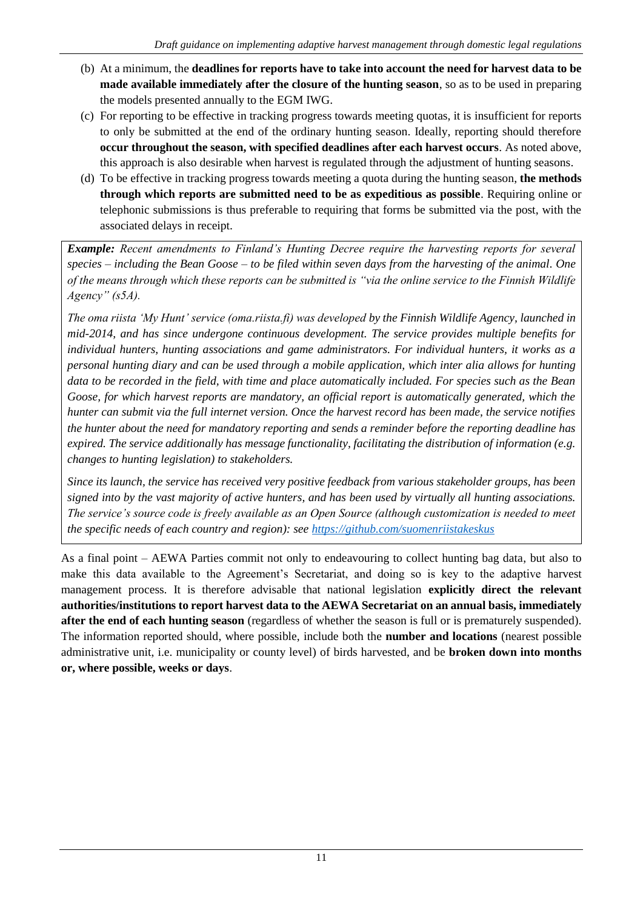- (b) At a minimum, the **deadlines for reports have to take into account the need for harvest data to be made available immediately after the closure of the hunting season**, so as to be used in preparing the models presented annually to the EGM IWG.
- (c) For reporting to be effective in tracking progress towards meeting quotas, it is insufficient for reports to only be submitted at the end of the ordinary hunting season. Ideally, reporting should therefore **occur throughout the season, with specified deadlines after each harvest occurs**. As noted above, this approach is also desirable when harvest is regulated through the adjustment of hunting seasons.
- (d) To be effective in tracking progress towards meeting a quota during the hunting season, **the methods through which reports are submitted need to be as expeditious as possible**. Requiring online or telephonic submissions is thus preferable to requiring that forms be submitted via the post, with the associated delays in receipt.

*Example: Recent amendments to Finland's Hunting Decree require the harvesting reports for several species – including the Bean Goose – to be filed within seven days from the harvesting of the animal. One of the means through which these reports can be submitted is "via the online service to the Finnish Wildlife Agency" (s5A).* 

*The oma riista 'My Hunt' service (oma.riista.fi) was developed by the Finnish Wildlife Agency, launched in mid-2014, and has since undergone continuous development. The service provides multiple benefits for individual hunters, hunting associations and game administrators. For individual hunters, it works as a personal hunting diary and can be used through a mobile application, which inter alia allows for hunting data to be recorded in the field, with time and place automatically included. For species such as the Bean Goose, for which harvest reports are mandatory, an official report is automatically generated, which the hunter can submit via the full internet version. Once the harvest record has been made, the service notifies the hunter about the need for mandatory reporting and sends a reminder before the reporting deadline has expired. The service additionally has message functionality, facilitating the distribution of information (e.g. changes to hunting legislation) to stakeholders.* 

*Since its launch, the service has received very positive feedback from various stakeholder groups, has been signed into by the vast majority of active hunters, and has been used by virtually all hunting associations. The service's source code is freely available as an Open Source (although customization is needed to meet the specific needs of each country and region): see<https://github.com/suomenriistakeskus>*

As a final point – AEWA Parties commit not only to endeavouring to collect hunting bag data, but also to make this data available to the Agreement's Secretariat, and doing so is key to the adaptive harvest management process. It is therefore advisable that national legislation **explicitly direct the relevant authorities/institutions to report harvest data to the AEWA Secretariat on an annual basis, immediately after the end of each hunting season** (regardless of whether the season is full or is prematurely suspended). The information reported should, where possible, include both the **number and locations** (nearest possible administrative unit, i.e. municipality or county level) of birds harvested, and be **broken down into months or, where possible, weeks or days**.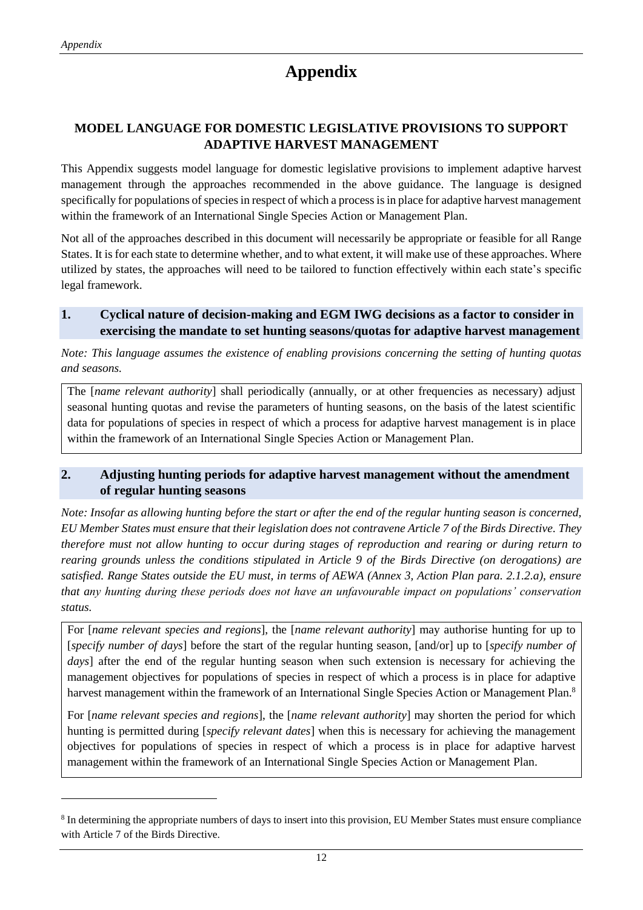-

# **Appendix**

# **MODEL LANGUAGE FOR DOMESTIC LEGISLATIVE PROVISIONS TO SUPPORT ADAPTIVE HARVEST MANAGEMENT**

This Appendix suggests model language for domestic legislative provisions to implement adaptive harvest management through the approaches recommended in the above guidance. The language is designed specifically for populations of species in respect of which a process is in place for adaptive harvest management within the framework of an International Single Species Action or Management Plan.

Not all of the approaches described in this document will necessarily be appropriate or feasible for all Range States. It is for each state to determine whether, and to what extent, it will make use of these approaches. Where utilized by states, the approaches will need to be tailored to function effectively within each state's specific legal framework.

#### **1. Cyclical nature of decision-making and EGM IWG decisions as a factor to consider in exercising the mandate to set hunting seasons/quotas for adaptive harvest management**

*Note: This language assumes the existence of enabling provisions concerning the setting of hunting quotas and seasons.*

The [*name relevant authority*] shall periodically (annually, or at other frequencies as necessary) adjust seasonal hunting quotas and revise the parameters of hunting seasons, on the basis of the latest scientific data for populations of species in respect of which a process for adaptive harvest management is in place within the framework of an International Single Species Action or Management Plan.

#### **2. Adjusting hunting periods for adaptive harvest management without the amendment of regular hunting seasons**

*Note: Insofar as allowing hunting before the start or after the end of the regular hunting season is concerned, EU Member States must ensure that their legislation does not contravene Article 7 of the Birds Directive. They therefore must not allow hunting to occur during stages of reproduction and rearing or during return to rearing grounds unless the conditions stipulated in Article 9 of the Birds Directive (on derogations) are satisfied. Range States outside the EU must, in terms of AEWA (Annex 3, Action Plan para. 2.1.2.a), ensure that any hunting during these periods does not have an unfavourable impact on populations' conservation status.*

For [*name relevant species and regions*], the [*name relevant authority*] may authorise hunting for up to [*specify number of days*] before the start of the regular hunting season, [and/or] up to [*specify number of days* after the end of the regular hunting season when such extension is necessary for achieving the management objectives for populations of species in respect of which a process is in place for adaptive harvest management within the framework of an International Single Species Action or Management Plan.<sup>8</sup>

For [*name relevant species and regions*], the [*name relevant authority*] may shorten the period for which hunting is permitted during [*specify relevant dates*] when this is necessary for achieving the management objectives for populations of species in respect of which a process is in place for adaptive harvest management within the framework of an International Single Species Action or Management Plan.

<sup>&</sup>lt;sup>8</sup> In determining the appropriate numbers of days to insert into this provision, EU Member States must ensure compliance with Article 7 of the Birds Directive.